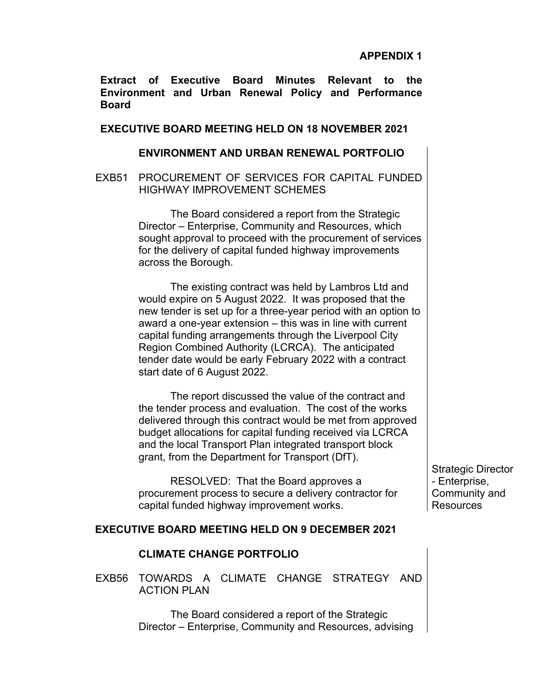**Extract of Executive Board Minutes Relevant to the Environment and Urban Renewal Policy and Performance Board**

## **EXECUTIVE BOARD MEETING HELD ON 18 NOVEMBER 2021**

### **ENVIRONMENT AND URBAN RENEWAL PORTFOLIO**

EXB51 PROCUREMENT OF SERVICES FOR CAPITAL FUNDED HIGHWAY IMPROVEMENT SCHEMES

> The Board considered a report from the Strategic Director – Enterprise, Community and Resources, which sought approval to proceed with the procurement of services for the delivery of capital funded highway improvements across the Borough.

> The existing contract was held by Lambros Ltd and would expire on 5 August 2022. It was proposed that the new tender is set up for a three-year period with an option to award a one-year extension – this was in line with current capital funding arrangements through the Liverpool City Region Combined Authority (LCRCA). The anticipated tender date would be early February 2022 with a contract start date of 6 August 2022.

> The report discussed the value of the contract and the tender process and evaluation. The cost of the works delivered through this contract would be met from approved budget allocations for capital funding received via LCRCA and the local Transport Plan integrated transport block grant, from the Department for Transport (DfT).

RESOLVED: That the Board approves a procurement process to secure a delivery contractor for capital funded highway improvement works.

Strategic Director - Enterprise, Community and Resources

# **EXECUTIVE BOARD MEETING HELD ON 9 DECEMBER 2021**

#### **CLIMATE CHANGE PORTFOLIO**

EXB56 TOWARDS A CLIMATE CHANGE STRATEGY AND ACTION PLAN

> The Board considered a report of the Strategic Director – Enterprise, Community and Resources, advising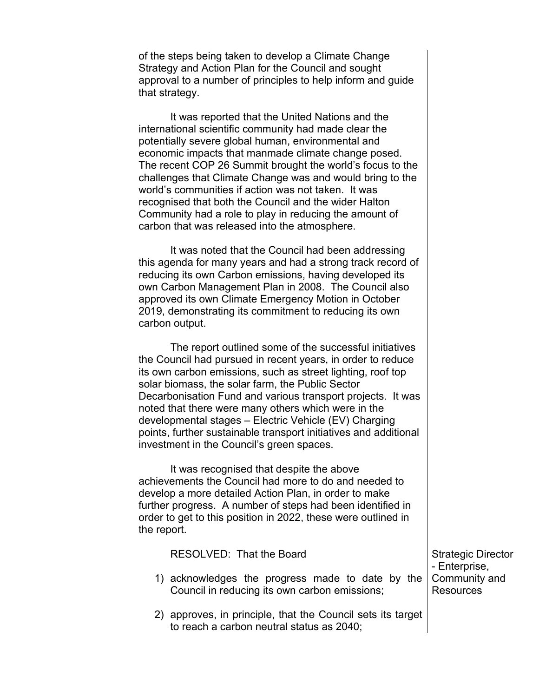of the steps being taken to develop a Climate Change Strategy and Action Plan for the Council and sought approval to a number of principles to help inform and guide that strategy.

It was reported that the United Nations and the international scientific community had made clear the potentially severe global human, environmental and economic impacts that manmade climate change posed. The recent COP 26 Summit brought the world's focus to the challenges that Climate Change was and would bring to the world's communities if action was not taken. It was recognised that both the Council and the wider Halton Community had a role to play in reducing the amount of carbon that was released into the atmosphere.

It was noted that the Council had been addressing this agenda for many years and had a strong track record of reducing its own Carbon emissions, having developed its own Carbon Management Plan in 2008. The Council also approved its own Climate Emergency Motion in October 2019, demonstrating its commitment to reducing its own carbon output.

The report outlined some of the successful initiatives the Council had pursued in recent years, in order to reduce its own carbon emissions, such as street lighting, roof top solar biomass, the solar farm, the Public Sector Decarbonisation Fund and various transport projects. It was noted that there were many others which were in the developmental stages – Electric Vehicle (EV) Charging points, further sustainable transport initiatives and additional investment in the Council's green spaces.

It was recognised that despite the above achievements the Council had more to do and needed to develop a more detailed Action Plan, in order to make further progress. A number of steps had been identified in order to get to this position in 2022, these were outlined in the report.

| RESOLVED: That the Board                                                                                        | Strategic Director<br>- Enterprise, |
|-----------------------------------------------------------------------------------------------------------------|-------------------------------------|
| 1) acknowledges the progress made to date by the Community and<br>Council in reducing its own carbon emissions; | <b>Resources</b>                    |

2) approves, in principle, that the Council sets its target to reach a carbon neutral status as 2040;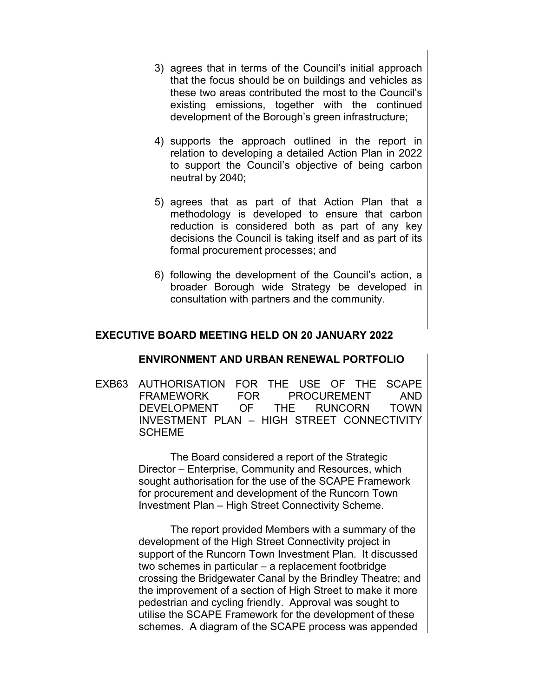- 3) agrees that in terms of the Council's initial approach that the focus should be on buildings and vehicles as these two areas contributed the most to the Council's existing emissions, together with the continued development of the Borough's green infrastructure;
- 4) supports the approach outlined in the report in relation to developing a detailed Action Plan in 2022 to support the Council's objective of being carbon neutral by 2040;
- 5) agrees that as part of that Action Plan that a methodology is developed to ensure that carbon reduction is considered both as part of any key decisions the Council is taking itself and as part of its formal procurement processes; and
- 6) following the development of the Council's action, a broader Borough wide Strategy be developed in consultation with partners and the community.

# **EXECUTIVE BOARD MEETING HELD ON 20 JANUARY 2022**

### **ENVIRONMENT AND URBAN RENEWAL PORTFOLIO**

EXB63 AUTHORISATION FOR THE USE OF THE SCAPE FRAMEWORK FOR PROCUREMENT AND DEVELOPMENT OF THE RUNCORN TOWN INVESTMENT PLAN – HIGH STREET CONNECTIVITY SCHEME

> The Board considered a report of the Strategic Director – Enterprise, Community and Resources, which sought authorisation for the use of the SCAPE Framework for procurement and development of the Runcorn Town Investment Plan – High Street Connectivity Scheme.

The report provided Members with a summary of the development of the High Street Connectivity project in support of the Runcorn Town Investment Plan. It discussed two schemes in particular – a replacement footbridge crossing the Bridgewater Canal by the Brindley Theatre; and the improvement of a section of High Street to make it more pedestrian and cycling friendly. Approval was sought to utilise the SCAPE Framework for the development of these schemes. A diagram of the SCAPE process was appended